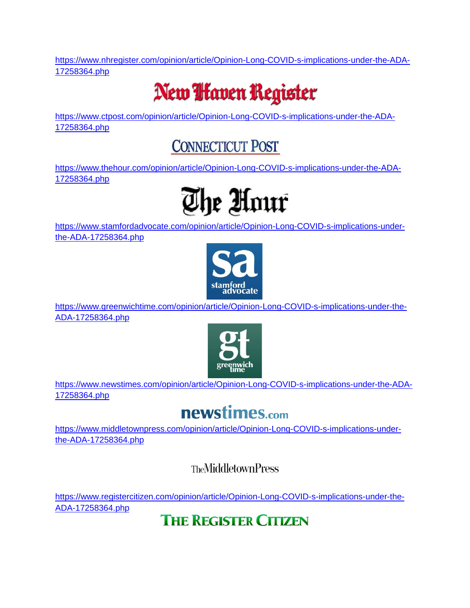[https://www.nhregister.com/opinion/article/Opinion-Long-COVID-s-implications-under-the-ADA-](https://www.nhregister.com/opinion/article/Opinion-Long-COVID-s-implications-under-the-ADA-17258364.php)[17258364.php](https://www.nhregister.com/opinion/article/Opinion-Long-COVID-s-implications-under-the-ADA-17258364.php)

## New **I** faven Register

[https://www.ctpost.com/opinion/article/Opinion-Long-COVID-s-implications-under-the-ADA-](https://www.ctpost.com/opinion/article/Opinion-Long-COVID-s-implications-under-the-ADA-17258364.php)[17258364.php](https://www.ctpost.com/opinion/article/Opinion-Long-COVID-s-implications-under-the-ADA-17258364.php)

## **CONNECTICUT POST**

[https://www.thehour.com/opinion/article/Opinion-Long-COVID-s-implications-under-the-ADA-](https://www.thehour.com/opinion/article/Opinion-Long-COVID-s-implications-under-the-ADA-17258364.php)[17258364.php](https://www.thehour.com/opinion/article/Opinion-Long-COVID-s-implications-under-the-ADA-17258364.php)



[https://www.stamfordadvocate.com/opinion/article/Opinion-Long-COVID-s-implications-under](https://www.stamfordadvocate.com/opinion/article/Opinion-Long-COVID-s-implications-under-the-ADA-17258364.php)[the-ADA-17258364.php](https://www.stamfordadvocate.com/opinion/article/Opinion-Long-COVID-s-implications-under-the-ADA-17258364.php)



[https://www.greenwichtime.com/opinion/article/Opinion-Long-COVID-s-implications-under-the-](https://www.greenwichtime.com/opinion/article/Opinion-Long-COVID-s-implications-under-the-ADA-17258364.php)[ADA-17258364.php](https://www.greenwichtime.com/opinion/article/Opinion-Long-COVID-s-implications-under-the-ADA-17258364.php)



[https://www.newstimes.com/opinion/article/Opinion-Long-COVID-s-implications-under-the-ADA-](https://www.newstimes.com/opinion/article/Opinion-Long-COVID-s-implications-under-the-ADA-17258364.php)[17258364.php](https://www.newstimes.com/opinion/article/Opinion-Long-COVID-s-implications-under-the-ADA-17258364.php)

## newstimes.com

[https://www.middletownpress.com/opinion/article/Opinion-Long-COVID-s-implications-under](https://www.middletownpress.com/opinion/article/Opinion-Long-COVID-s-implications-under-the-ADA-17258364.php)[the-ADA-17258364.php](https://www.middletownpress.com/opinion/article/Opinion-Long-COVID-s-implications-under-the-ADA-17258364.php)

**TheMiddletownPress** 

[https://www.registercitizen.com/opinion/article/Opinion-Long-COVID-s-implications-under-the-](https://www.registercitizen.com/opinion/article/Opinion-Long-COVID-s-implications-under-the-ADA-17258364.php)[ADA-17258364.php](https://www.registercitizen.com/opinion/article/Opinion-Long-COVID-s-implications-under-the-ADA-17258364.php)

**THE REGISTER CITIZEN**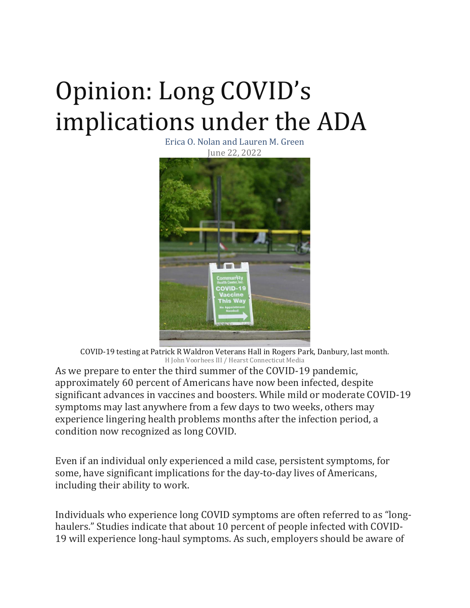## Opinion: Long COVID's implications under the ADA

Erica O. Nolan and Lauren M. Green June 22, 2022



COVID-19 testing at Patrick R Waldron Veterans Hall in Rogers Park, Danbury, last month. H John Voorhees III / Hearst Connecticut Media

As we prepare to enter the third summer of the COVID-19 pandemic, approximately 60 percent of Americans have now been infected, despite significant advances in vaccines and boosters. While mild or moderate COVID-19 symptoms may last anywhere from a few days to two weeks, others may experience lingering health problems months after the infection period, a condition now recognized as long COVID.

Even if an individual only experienced a mild case, persistent symptoms, for some, have significant implications for the day-to-day lives of Americans, including their ability to work.

Individuals who experience long COVID symptoms are often referred to as "longhaulers." Studies indicate that about 10 percent of people infected with COVID-19 will experience long-haul symptoms. As such, employers should be aware of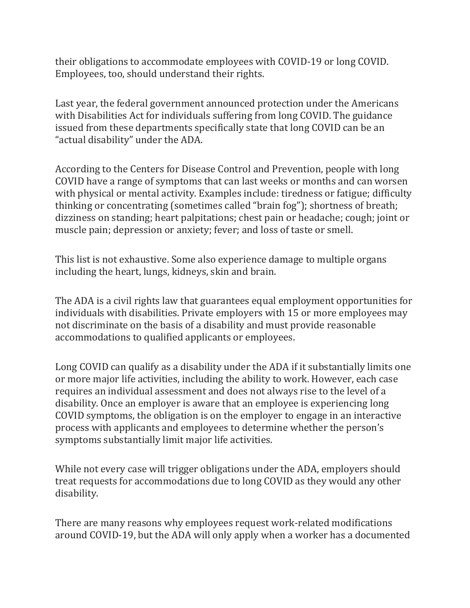their obligations to accommodate employees with COVID-19 or long COVID. Employees, too, should understand their rights.

Last year, the federal government announced protection under the Americans with Disabilities Act for individuals suffering from long COVID. The guidance issued from these departments specifically state that long COVID can be an "actual disability" under the ADA.

According to the Centers for Disease Control and Prevention, people with long COVID have a range of symptoms that can last weeks or months and can worsen with physical or mental activity. Examples include: tiredness or fatigue; difficulty thinking or concentrating (sometimes called "brain fog"); shortness of breath; dizziness on standing; heart palpitations; chest pain or headache; cough; joint or muscle pain; depression or anxiety; fever; and loss of taste or smell.

This list is not exhaustive. Some also experience damage to multiple organs including the heart, lungs, kidneys, skin and brain.

The ADA is a civil rights law that guarantees equal employment opportunities for individuals with disabilities. Private employers with 15 or more employees may not discriminate on the basis of a disability and must provide reasonable accommodations to qualified applicants or employees.

Long COVID can qualify as a disability under the ADA if it substantially limits one or more major life activities, including the ability to work. However, each case requires an individual assessment and does not always rise to the level of a disability. Once an employer is aware that an employee is experiencing long COVID symptoms, the obligation is on the employer to engage in an interactive process with applicants and employees to determine whether the person's symptoms substantially limit major life activities.

While not every case will trigger obligations under the ADA, employers should treat requests for accommodations due to long COVID as they would any other disability.

There are many reasons why employees request work-related modifications around COVID-19, but the ADA will only apply when a worker has a documented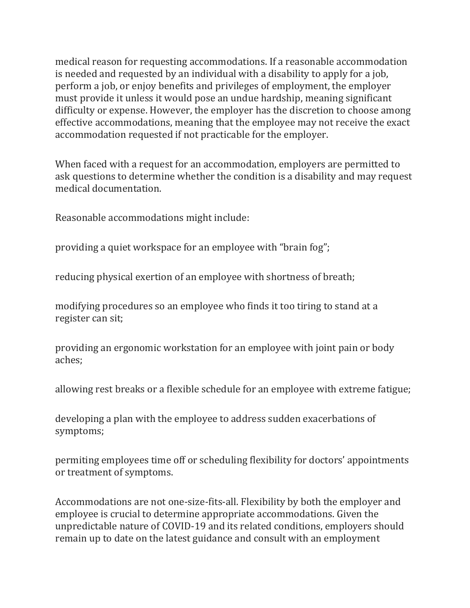medical reason for requesting accommodations. If a reasonable accommodation is needed and requested by an individual with a disability to apply for a job, perform a job, or enjoy benefits and privileges of employment, the employer must provide it unless it would pose an undue hardship, meaning significant difficulty or expense. However, the employer has the discretion to choose among effective accommodations, meaning that the employee may not receive the exact accommodation requested if not practicable for the employer.

When faced with a request for an accommodation, employers are permitted to ask questions to determine whether the condition is a disability and may request medical documentation.

Reasonable accommodations might include:

providing a quiet workspace for an employee with "brain fog";

reducing physical exertion of an employee with shortness of breath;

modifying procedures so an employee who finds it too tiring to stand at a register can sit;

providing an ergonomic workstation for an employee with joint pain or body aches;

allowing rest breaks or a flexible schedule for an employee with extreme fatigue;

developing a plan with the employee to address sudden exacerbations of symptoms;

permiting employees time off or scheduling flexibility for doctors' appointments or treatment of symptoms.

Accommodations are not one-size-fits-all. Flexibility by both the employer and employee is crucial to determine appropriate accommodations. Given the unpredictable nature of COVID-19 and its related conditions, employers should remain up to date on the latest guidance and consult with an employment